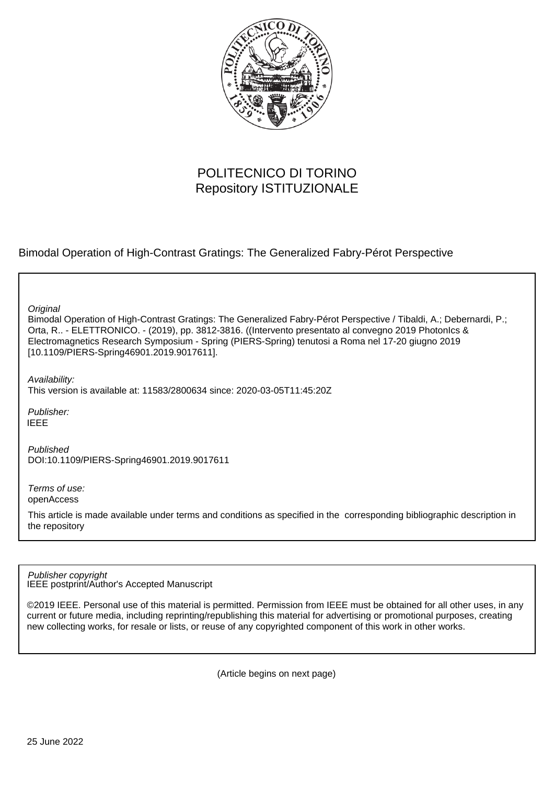

# POLITECNICO DI TORINO Repository ISTITUZIONALE

Bimodal Operation of High-Contrast Gratings: The Generalized Fabry-Pérot Perspective

**Original** 

Bimodal Operation of High-Contrast Gratings: The Generalized Fabry-Pérot Perspective / Tibaldi, A.; Debernardi, P.; Orta, R.. - ELETTRONICO. - (2019), pp. 3812-3816. ((Intervento presentato al convegno 2019 PhotonIcs & Electromagnetics Research Symposium - Spring (PIERS-Spring) tenutosi a Roma nel 17-20 giugno 2019 [10.1109/PIERS-Spring46901.2019.9017611].

Availability: This version is available at: 11583/2800634 since: 2020-03-05T11:45:20Z

Publisher: IEEE

Published DOI:10.1109/PIERS-Spring46901.2019.9017611

Terms of use: openAccess

This article is made available under terms and conditions as specified in the corresponding bibliographic description in the repository

IEEE postprint/Author's Accepted Manuscript Publisher copyright

©2019 IEEE. Personal use of this material is permitted. Permission from IEEE must be obtained for all other uses, in any current or future media, including reprinting/republishing this material for advertising or promotional purposes, creating new collecting works, for resale or lists, or reuse of any copyrighted component of this work in other works.

(Article begins on next page)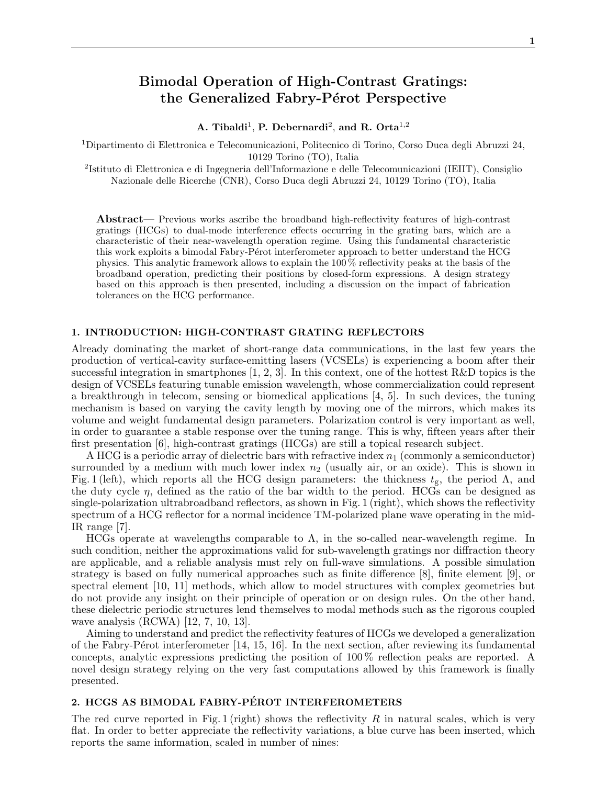# Bimodal Operation of High-Contrast Gratings: the Generalized Fabry-Pérot Perspective

A. Tibaldi<sup>1</sup>, P. Debernardi<sup>2</sup>, and R. Orta<sup>1,2</sup>

 $^1$ Dipartimento di Elettronica e Telecomunicazioni, Politecnico di Torino, Corso Duca degli Abruzzi $24,$ 10129 Torino (TO), Italia

2 Istituto di Elettronica e di Ingegneria dell'Informazione e delle Telecomunicazioni (IEIIT), Consiglio Nazionale delle Ricerche (CNR), Corso Duca degli Abruzzi 24, 10129 Torino (TO), Italia

Abstract— Previous works ascribe the broadband high-reflectivity features of high-contrast gratings (HCGs) to dual-mode interference effects occurring in the grating bars, which are a characteristic of their near-wavelength operation regime. Using this fundamental characteristic this work exploits a bimodal Fabry-Pérot interferometer approach to better understand the HCG physics. This analytic framework allows to explain the 100 % reflectivity peaks at the basis of the broadband operation, predicting their positions by closed-form expressions. A design strategy based on this approach is then presented, including a discussion on the impact of fabrication tolerances on the HCG performance.

### 1. INTRODUCTION: HIGH-CONTRAST GRATING REFLECTORS

Already dominating the market of short-range data communications, in the last few years the production of vertical-cavity surface-emitting lasers (VCSELs) is experiencing a boom after their successful integration in smartphones  $[1, 2, 3]$ . In this context, one of the hottest R&D topics is the design of VCSELs featuring tunable emission wavelength, whose commercialization could represent a breakthrough in telecom, sensing or biomedical applications [4, 5]. In such devices, the tuning mechanism is based on varying the cavity length by moving one of the mirrors, which makes its volume and weight fundamental design parameters. Polarization control is very important as well, in order to guarantee a stable response over the tuning range. This is why, fifteen years after their first presentation [6], high-contrast gratings (HCGs) are still a topical research subject.

A HCG is a periodic array of dielectric bars with refractive index  $n_1$  (commonly a semiconductor) surrounded by a medium with much lower index  $n_2$  (usually air, or an oxide). This is shown in Fig. 1 (left), which reports all the HCG design parameters: the thickness  $t_{g}$ , the period  $\Lambda$ , and the duty cycle  $\eta$ , defined as the ratio of the bar width to the period. HCGs can be designed as single-polarization ultrabroadband reflectors, as shown in Fig. 1 (right), which shows the reflectivity spectrum of a HCG reflector for a normal incidence TM-polarized plane wave operating in the mid-IR range [7].

HCGs operate at wavelengths comparable to  $\Lambda$ , in the so-called near-wavelength regime. In such condition, neither the approximations valid for sub-wavelength gratings nor diffraction theory are applicable, and a reliable analysis must rely on full-wave simulations. A possible simulation strategy is based on fully numerical approaches such as finite difference [8], finite element [9], or spectral element [10, 11] methods, which allow to model structures with complex geometries but do not provide any insight on their principle of operation or on design rules. On the other hand, these dielectric periodic structures lend themselves to modal methods such as the rigorous coupled wave analysis (RCWA) [12, 7, 10, 13].

Aiming to understand and predict the reflectivity features of HCGs we developed a generalization of the Fabry-Pérot interferometer  $[14, 15, 16]$ . In the next section, after reviewing its fundamental concepts, analytic expressions predicting the position of 100 % reflection peaks are reported. A novel design strategy relying on the very fast computations allowed by this framework is finally presented.

## 2. HCGS AS BIMODAL FABRY-PÉROT INTERFEROMETERS

The red curve reported in Fig. 1 (right) shows the reflectivity R in natural scales, which is very flat. In order to better appreciate the reflectivity variations, a blue curve has been inserted, which reports the same information, scaled in number of nines: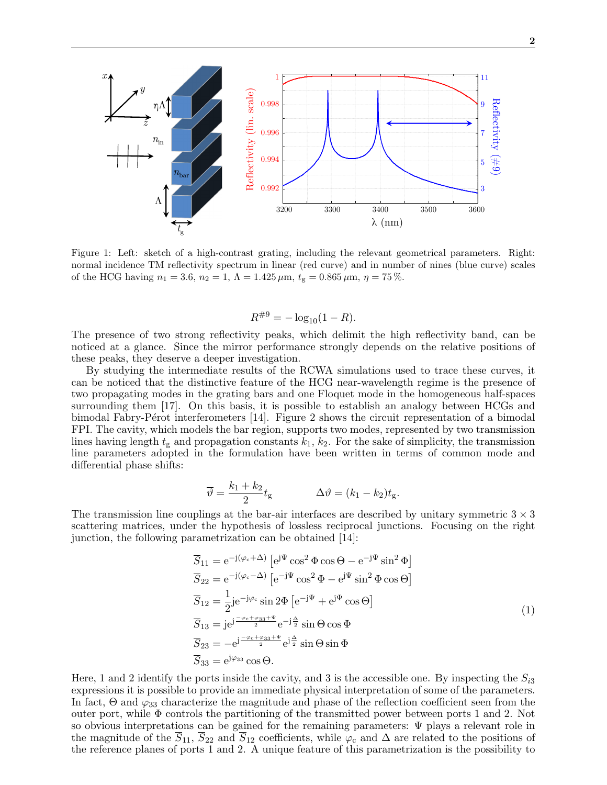

Figure 1: Left: sketch of a high-contrast grating, including the relevant geometrical parameters. Right: normal incidence TM reflectivity spectrum in linear (red curve) and in number of nines (blue curve) scales of the HCG having  $n_1 = 3.6$ ,  $n_2 = 1$ ,  $\Lambda = 1.425 \,\mu \text{m}$ ,  $t_g = 0.865 \,\mu \text{m}$ ,  $\eta = 75 \,\%$ .

$$
R^{\#9} = -\log_{10}(1 - R).
$$

The presence of two strong reflectivity peaks, which delimit the high reflectivity band, can be noticed at a glance. Since the mirror performance strongly depends on the relative positions of these peaks, they deserve a deeper investigation.

By studying the intermediate results of the RCWA simulations used to trace these curves, it can be noticed that the distinctive feature of the HCG near-wavelength regime is the presence of two propagating modes in the grating bars and one Floquet mode in the homogeneous half-spaces surrounding them [17]. On this basis, it is possible to establish an analogy between HCGs and bimodal Fabry-Pérot interferometers [14]. Figure 2 shows the circuit representation of a bimodal FPI. The cavity, which models the bar region, supports two modes, represented by two transmission lines having length  $t_g$  and propagation constants  $k_1, k_2$ . For the sake of simplicity, the transmission line parameters adopted in the formulation have been written in terms of common mode and differential phase shifts:

$$
\overline{\vartheta} = \frac{k_1 + k_2}{2} t_{\rm g} \qquad \Delta \vartheta = (k_1 - k_2) t_{\rm g}.
$$

The transmission line couplings at the bar-air interfaces are described by unitary symmetric  $3 \times 3$ scattering matrices, under the hypothesis of lossless reciprocal junctions. Focusing on the right junction, the following parametrization can be obtained [14]:

$$
\overline{S}_{11} = e^{-j(\varphi_c + \Delta)} \left[ e^{j\Psi} \cos^2 \Phi \cos \Theta - e^{-j\Psi} \sin^2 \Phi \right]
$$
  
\n
$$
\overline{S}_{22} = e^{-j(\varphi_c - \Delta)} \left[ e^{-j\Psi} \cos^2 \Phi - e^{j\Psi} \sin^2 \Phi \cos \Theta \right]
$$
  
\n
$$
\overline{S}_{12} = \frac{1}{2} j e^{-j\varphi_c} \sin 2\Phi \left[ e^{-j\Psi} + e^{j\Psi} \cos \Theta \right]
$$
  
\n
$$
\overline{S}_{13} = j e^{j\frac{-\varphi_c + \varphi_{33} + \Psi}{2}} e^{-j\frac{\Delta}{2}} \sin \Theta \cos \Phi
$$
  
\n
$$
\overline{S}_{23} = -e^{j\frac{-\varphi_c + \varphi_{33} + \Psi}{2}} e^{j\frac{\Delta}{2}} \sin \Theta \sin \Phi
$$
  
\n
$$
\overline{S}_{33} = e^{j\varphi_{33}} \cos \Theta.
$$
\n(1)

Here, 1 and 2 identify the ports inside the cavity, and 3 is the accessible one. By inspecting the  $S_{i3}$ expressions it is possible to provide an immediate physical interpretation of some of the parameters. In fact,  $\Theta$  and  $\varphi_{33}$  characterize the magnitude and phase of the reflection coefficient seen from the outer port, while  $\Phi$  controls the partitioning of the transmitted power between ports 1 and 2. Not so obvious interpretations can be gained for the remaining parameters: Ψ plays a relevant role in the magnitude of the  $\overline{S}_{11}$ ,  $\overline{S}_{22}$  and  $\overline{S}_{12}$  coefficients, while  $\varphi_c$  and  $\Delta$  are related to the positions of the reference planes of ports 1 and 2. A unique feature of this parametrization is the possibility to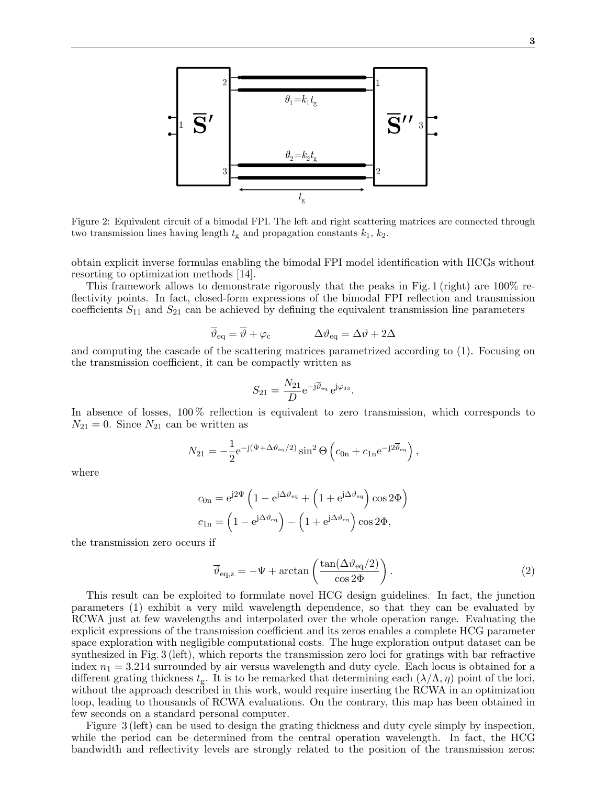

Figure 2: Equivalent circuit of a bimodal FPI. The left and right scattering matrices are connected through two transmission lines having length  $t_g$  and propagation constants  $k_1$ ,  $k_2$ .

obtain explicit inverse formulas enabling the bimodal FPI model identification with HCGs without resorting to optimization methods [14].

This framework allows to demonstrate rigorously that the peaks in Fig. 1 (right) are 100% reflectivity points. In fact, closed-form expressions of the bimodal FPI reflection and transmission coefficients  $S_{11}$  and  $S_{21}$  can be achieved by defining the equivalent transmission line parameters

$$
\overline{\vartheta}_{\text{eq}} = \overline{\vartheta} + \varphi_{\text{c}} \qquad \Delta \vartheta_{\text{eq}} = \Delta \vartheta + 2\Delta
$$

and computing the cascade of the scattering matrices parametrized according to (1). Focusing on the transmission coefficient, it can be compactly written as

$$
S_{21} = \frac{N_{21}}{D} e^{-j\overline{\vartheta}_{\text{eq}}} e^{j\varphi_{33}}.
$$

In absence of losses, 100 % reflection is equivalent to zero transmission, which corresponds to  $N_{21} = 0$ . Since  $N_{21}$  can be written as

$$
N_{21} = -\frac{1}{2} e^{-j(\Psi + \Delta \vartheta_{\text{eq}}/2)} \sin^2 \Theta \left( c_{0n} + c_{1n} e^{-j2\overline{\vartheta}_{\text{eq}}} \right),
$$

where

$$
c_{0n} = e^{j2\Psi} \left( 1 - e^{j\Delta\vartheta_{eq}} + \left( 1 + e^{j\Delta\vartheta_{eq}} \right) \cos 2\Phi \right)
$$
  

$$
c_{1n} = \left( 1 - e^{j\Delta\vartheta_{eq}} \right) - \left( 1 + e^{j\Delta\vartheta_{eq}} \right) \cos 2\Phi,
$$

the transmission zero occurs if

$$
\overline{\vartheta}_{\text{eq,z}} = -\Psi + \arctan\left(\frac{\tan(\Delta\vartheta_{\text{eq}}/2)}{\cos 2\Phi}\right). \tag{2}
$$

This result can be exploited to formulate novel HCG design guidelines. In fact, the junction parameters (1) exhibit a very mild wavelength dependence, so that they can be evaluated by RCWA just at few wavelengths and interpolated over the whole operation range. Evaluating the explicit expressions of the transmission coefficient and its zeros enables a complete HCG parameter space exploration with negligible computational costs. The huge exploration output dataset can be synthesized in Fig. 3 (left), which reports the transmission zero loci for gratings with bar refractive index  $n_1 = 3.214$  surrounded by air versus wavelength and duty cycle. Each locus is obtained for a different grating thickness  $t_g$ . It is to be remarked that determining each  $(\lambda/\Lambda, \eta)$  point of the loci, without the approach described in this work, would require inserting the RCWA in an optimization loop, leading to thousands of RCWA evaluations. On the contrary, this map has been obtained in few seconds on a standard personal computer.

Figure 3 (left) can be used to design the grating thickness and duty cycle simply by inspection, while the period can be determined from the central operation wavelength. In fact, the HCG bandwidth and reflectivity levels are strongly related to the position of the transmission zeros: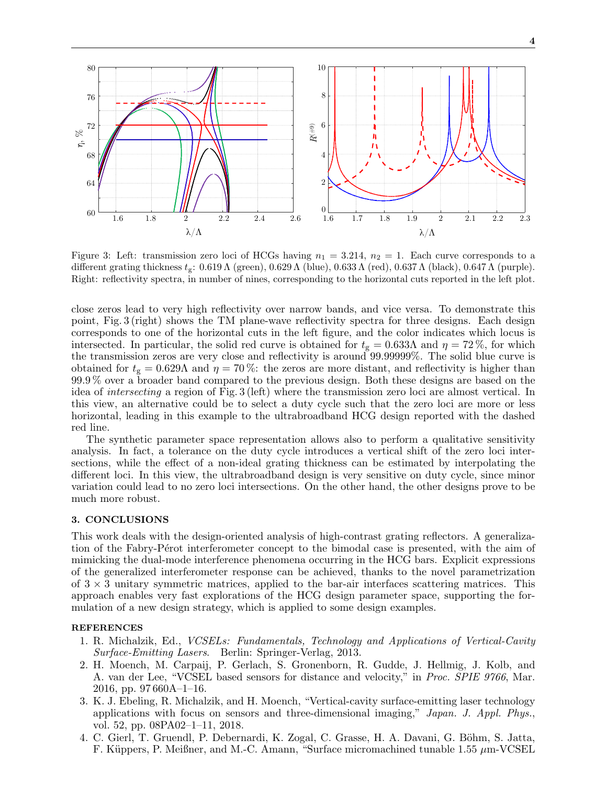

Figure 3: Left: transmission zero loci of HCGs having  $n_1 = 3.214$ ,  $n_2 = 1$ . Each curve corresponds to a different grating thickness  $t_g$ : 0.619 Λ (green), 0.629 Λ (blue), 0.633 Λ (red), 0.637 Λ (black), 0.647 Λ (purple). Right: reflectivity spectra, in number of nines, corresponding to the horizontal cuts reported in the left plot.

close zeros lead to very high reflectivity over narrow bands, and vice versa. To demonstrate this point, Fig. 3 (right) shows the TM plane-wave reflectivity spectra for three designs. Each design corresponds to one of the horizontal cuts in the left figure, and the color indicates which locus is intersected. In particular, the solid red curve is obtained for  $t_g = 0.633\Lambda$  and  $\eta = 72\%$ , for which the transmission zeros are very close and reflectivity is around 99.99999%. The solid blue curve is obtained for  $t_g = 0.629\Lambda$  and  $\eta = 70\%$ : the zeros are more distant, and reflectivity is higher than 99.9 % over a broader band compared to the previous design. Both these designs are based on the idea of intersecting a region of Fig. 3 (left) where the transmission zero loci are almost vertical. In this view, an alternative could be to select a duty cycle such that the zero loci are more or less horizontal, leading in this example to the ultrabroadband HCG design reported with the dashed red line.

The synthetic parameter space representation allows also to perform a qualitative sensitivity analysis. In fact, a tolerance on the duty cycle introduces a vertical shift of the zero loci intersections, while the effect of a non-ideal grating thickness can be estimated by interpolating the different loci. In this view, the ultrabroadband design is very sensitive on duty cycle, since minor variation could lead to no zero loci intersections. On the other hand, the other designs prove to be much more robust.

#### 3. CONCLUSIONS

This work deals with the design-oriented analysis of high-contrast grating reflectors. A generalization of the Fabry-Pérot interferometer concept to the bimodal case is presented, with the aim of mimicking the dual-mode interference phenomena occurring in the HCG bars. Explicit expressions of the generalized interferometer response can be achieved, thanks to the novel parametrization of  $3 \times 3$  unitary symmetric matrices, applied to the bar-air interfaces scattering matrices. This approach enables very fast explorations of the HCG design parameter space, supporting the formulation of a new design strategy, which is applied to some design examples.

#### **REFERENCES**

- 1. R. Michalzik, Ed., VCSELs: Fundamentals, Technology and Applications of Vertical-Cavity Surface-Emitting Lasers. Berlin: Springer-Verlag, 2013.
- 2. H. Moench, M. Carpaij, P. Gerlach, S. Gronenborn, R. Gudde, J. Hellmig, J. Kolb, and A. van der Lee, "VCSEL based sensors for distance and velocity," in Proc. SPIE 9766, Mar. 2016, pp. 97 660A–1–16.
- 3. K. J. Ebeling, R. Michalzik, and H. Moench, "Vertical-cavity surface-emitting laser technology applications with focus on sensors and three-dimensional imaging," Japan. J. Appl. Phys., vol. 52, pp. 08PA02–1–11, 2018.
- 4. C. Gierl, T. Gruendl, P. Debernardi, K. Zogal, C. Grasse, H. A. Davani, G. Böhm, S. Jatta, F. Küppers, P. Meißner, and M.-C. Amann, "Surface micromachined tunable 1.55  $\mu$ m-VCSEL